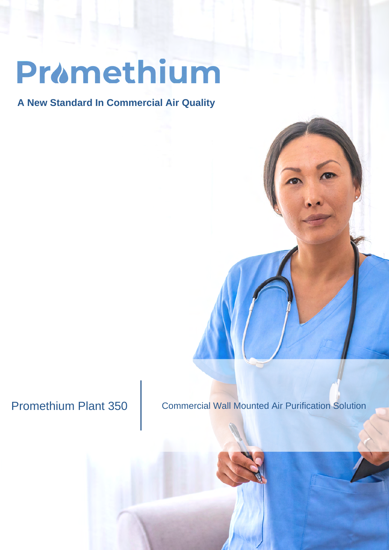## Pramethium

**A New Standard In Commercial Air Quality**

Promethium Plant 350 | Commercial Wall Mounted Air Purification Solution